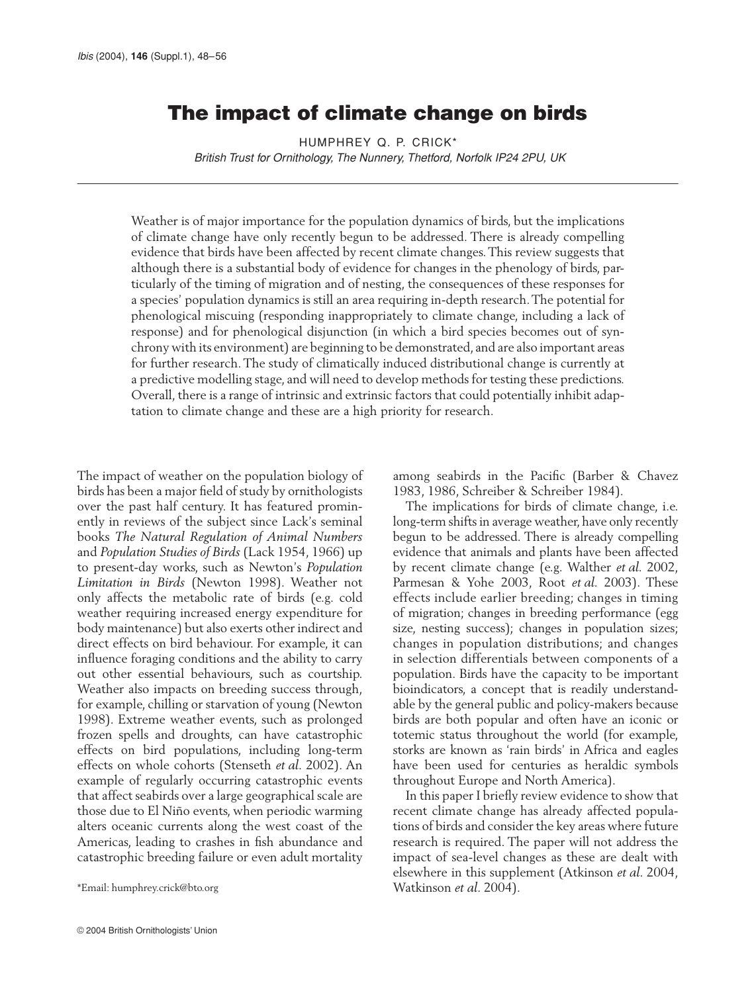# **The impact of climate change on birds**

HUMPHREY Q. P. CRICK\*  *British Trust for Ornithology, The Nunnery, Thetford, Norfolk IP24 2PU, UK* 

Weather is of major importance for the population dynamics of birds, but the implications of climate change have only recently begun to be addressed. There is already compelling evidence that birds have been affected by recent climate changes. This review suggests that although there is a substantial body of evidence for changes in the phenology of birds, particularly of the timing of migration and of nesting, the consequences of these responses for a species' population dynamics is still an area requiring in-depth research. The potential for phenological miscuing (responding inappropriately to climate change, including a lack of response) and for phenological disjunction (in which a bird species becomes out of synchrony with its environment) are beginning to be demonstrated, and are also important areas for further research. The study of climatically induced distributional change is currently at a predictive modelling stage, and will need to develop methods for testing these predictions. Overall, there is a range of intrinsic and extrinsic factors that could potentially inhibit adaptation to climate change and these are a high priority for research.

The impact of weather on the population biology of birds has been a major field of study by ornithologists over the past half century. It has featured prominently in reviews of the subject since Lack's seminal books *The Natural Regulation of Animal Numbers* and *Population Studies of Birds* (Lack 1954, 1966) up to present-day works, such as Newton's *Population Limitation in Birds* (Newton 1998). Weather not only affects the metabolic rate of birds (e.g. cold weather requiring increased energy expenditure for body maintenance) but also exerts other indirect and direct effects on bird behaviour. For example, it can influence foraging conditions and the ability to carry out other essential behaviours, such as courtship. Weather also impacts on breeding success through, for example, chilling or starvation of young (Newton 1998). Extreme weather events, such as prolonged frozen spells and droughts, can have catastrophic effects on bird populations, including long-term effects on whole cohorts (Stenseth *et al*. 2002). An example of regularly occurring catastrophic events that affect seabirds over a large geographical scale are those due to El Niño events, when periodic warming alters oceanic currents along the west coast of the Americas, leading to crashes in fish abundance and catastrophic breeding failure or even adult mortality

among seabirds in the Pacific (Barber & Chavez 1983, 1986, Schreiber & Schreiber 1984).

The implications for birds of climate change, i.e. long-term shifts in average weather, have only recently begun to be addressed. There is already compelling evidence that animals and plants have been affected by recent climate change (e.g. Walther *et al*. 2002, Parmesan & Yohe 2003, Root *et al*. 2003). These effects include earlier breeding; changes in timing of migration; changes in breeding performance (egg size, nesting success); changes in population sizes; changes in population distributions; and changes in selection differentials between components of a population. Birds have the capacity to be important bioindicators, a concept that is readily understandable by the general public and policy-makers because birds are both popular and often have an iconic or totemic status throughout the world (for example, storks are known as 'rain birds' in Africa and eagles have been used for centuries as heraldic symbols throughout Europe and North America).

In this paper I briefly review evidence to show that recent climate change has already affected populations of birds and consider the key areas where future research is required. The paper will not address the impact of sea-level changes as these are dealt with elsewhere in this supplement (Atkinson *et al*. 2004, \*Email: humphrey.crick@bto.org Watkinson *et al*. 2004).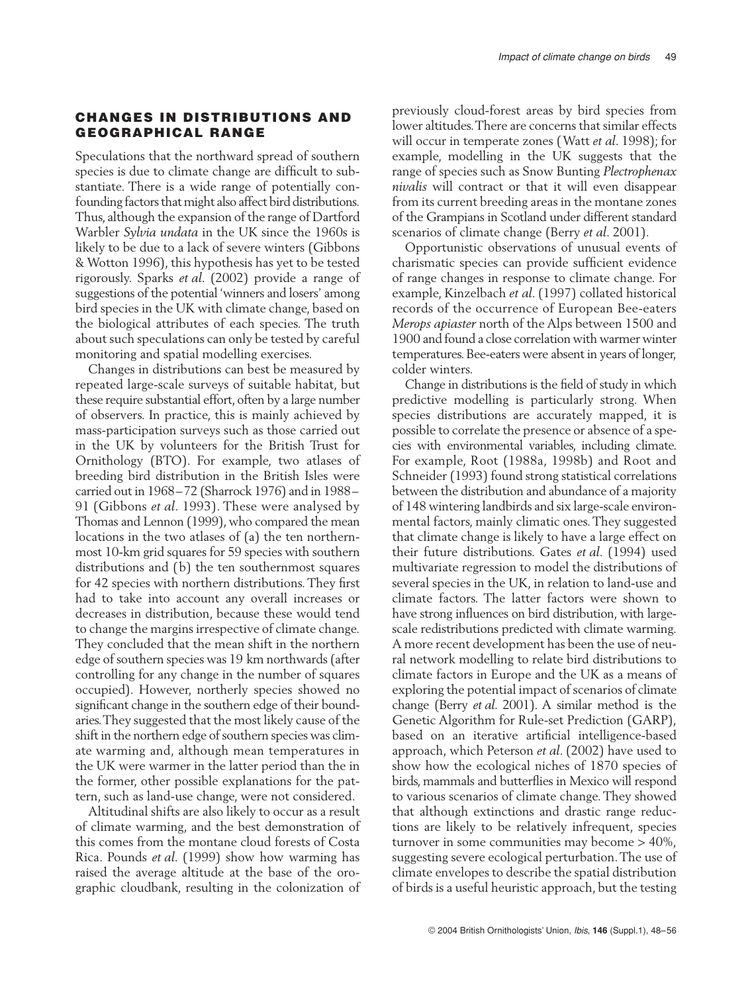## **CHANGES IN DISTRIBUTIONS AND GEOGRAPHICAL RANGE**

Speculations that the northward spread of southern species is due to climate change are difficult to substantiate. There is a wide range of potentially confounding factors that might also affect bird distributions. Thus, although the expansion of the range of Dartford Warbler *Sylvia undata* in the UK since the 1960s is likely to be due to a lack of severe winters (Gibbons & Wotton 1996), this hypothesis has yet to be tested rigorously. Sparks *et al*. (2002) provide a range of suggestions of the potential 'winners and losers' among bird species in the UK with climate change, based on the biological attributes of each species. The truth about such speculations can only be tested by careful monitoring and spatial modelling exercises.

Changes in distributions can best be measured by repeated large-scale surveys of suitable habitat, but these require substantial effort, often by a large number of observers. In practice, this is mainly achieved by mass-participation surveys such as those carried out in the UK by volunteers for the British Trust for Ornithology (BTO). For example, two atlases of breeding bird distribution in the British Isles were carried out in 1968–72 (Sharrock 1976) and in 1988– 91 (Gibbons *et al*. 1993). These were analysed by Thomas and Lennon (1999), who compared the mean locations in the two atlases of (a) the ten northernmost 10-km grid squares for 59 species with southern distributions and (b) the ten southernmost squares for 42 species with northern distributions. They first had to take into account any overall increases or decreases in distribution, because these would tend to change the margins irrespective of climate change. They concluded that the mean shift in the northern edge of southern species was 19 km northwards (after controlling for any change in the number of squares occupied). However, northerly species showed no significant change in the southern edge of their boundaries. They suggested that the most likely cause of the shift in the northern edge of southern species was climate warming and, although mean temperatures in the UK were warmer in the latter period than the in the former, other possible explanations for the pattern, such as land-use change, were not considered.

Altitudinal shifts are also likely to occur as a result of climate warming, and the best demonstration of this comes from the montane cloud forests of Costa Rica. Pounds *et al*. (1999) show how warming has raised the average altitude at the base of the orographic cloudbank, resulting in the colonization of previously cloud-forest areas by bird species from lower altitudes. There are concerns that similar effects will occur in temperate zones (Watt *et al*. 1998); for example, modelling in the UK suggests that the range of species such as Snow Bunting *Plectrophenax nivalis* will contract or that it will even disappear from its current breeding areas in the montane zones of the Grampians in Scotland under different standard scenarios of climate change (Berry *et al*. 2001).

Opportunistic observations of unusual events of charismatic species can provide sufficient evidence of range changes in response to climate change. For example, Kinzelbach *et al*. (1997) collated historical records of the occurrence of European Bee-eaters *Merops apiaster* north of the Alps between 1500 and 1900 and found a close correlation with warmer winter temperatures. Bee-eaters were absent in years of longer, colder winters.

Change in distributions is the field of study in which predictive modelling is particularly strong. When species distributions are accurately mapped, it is possible to correlate the presence or absence of a species with environmental variables, including climate. For example, Root (1988a, 1998b) and Root and Schneider (1993) found strong statistical correlations between the distribution and abundance of a majority of 148 wintering landbirds and six large-scale environmental factors, mainly climatic ones. They suggested that climate change is likely to have a large effect on their future distributions. Gates *et al*. (1994) used multivariate regression to model the distributions of several species in the UK, in relation to land-use and climate factors. The latter factors were shown to have strong influences on bird distribution, with largescale redistributions predicted with climate warming. A more recent development has been the use of neural network modelling to relate bird distributions to climate factors in Europe and the UK as a means of exploring the potential impact of scenarios of climate change (Berry *et al*. 2001). A similar method is the Genetic Algorithm for Rule-set Prediction (GARP), based on an iterative artificial intelligence-based approach, which Peterson *et al*. (2002) have used to show how the ecological niches of 1870 species of birds, mammals and butterflies in Mexico will respond to various scenarios of climate change. They showed that although extinctions and drastic range reductions are likely to be relatively infrequent, species turnover in some communities may become > 40%, suggesting severe ecological perturbation. The use of climate envelopes to describe the spatial distribution of birds is a useful heuristic approach, but the testing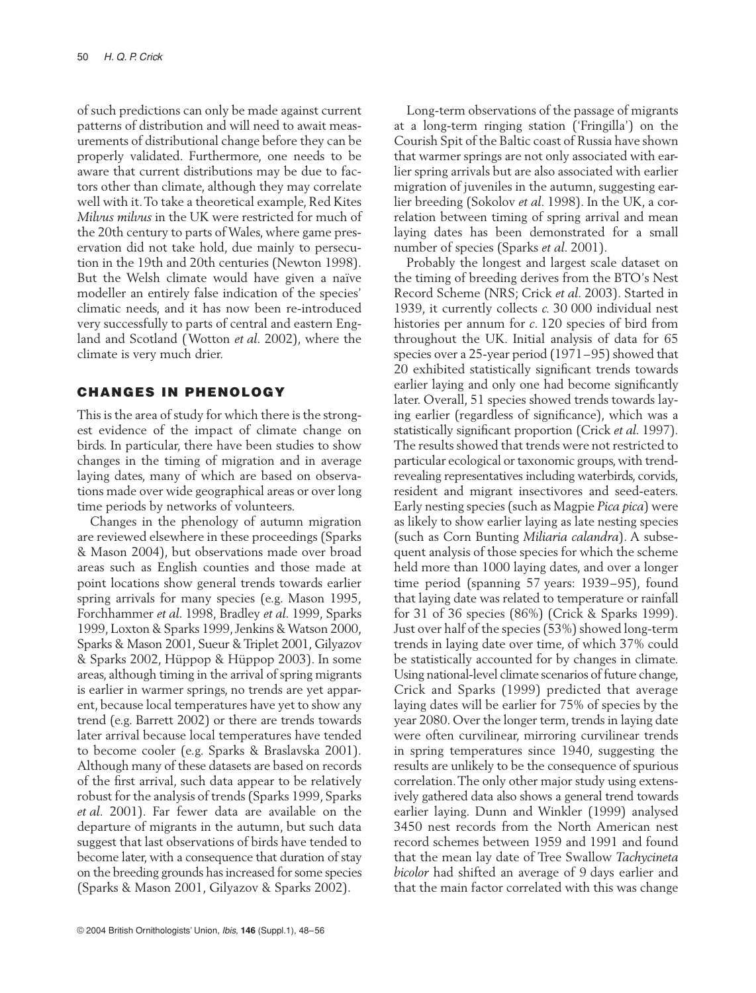of such predictions can only be made against current patterns of distribution and will need to await measurements of distributional change before they can be properly validated. Furthermore, one needs to be aware that current distributions may be due to factors other than climate, although they may correlate well with it. To take a theoretical example, Red Kites *Milvus milvus* in the UK were restricted for much of the 20th century to parts of Wales, where game preservation did not take hold, due mainly to persecution in the 19th and 20th centuries (Newton 1998). But the Welsh climate would have given a naïve modeller an entirely false indication of the species' climatic needs, and it has now been re-introduced very successfully to parts of central and eastern England and Scotland (Wotton *et al*. 2002), where the climate is very much drier.

# **CHANGES IN PHENOLOGY**

This is the area of study for which there is the strongest evidence of the impact of climate change on birds. In particular, there have been studies to show changes in the timing of migration and in average laying dates, many of which are based on observations made over wide geographical areas or over long time periods by networks of volunteers.

Changes in the phenology of autumn migration are reviewed elsewhere in these proceedings (Sparks & Mason 2004), but observations made over broad areas such as English counties and those made at point locations show general trends towards earlier spring arrivals for many species (e.g. Mason 1995, Forchhammer *et al*. 1998, Bradley *et al*. 1999, Sparks 1999, Loxton & Sparks 1999, Jenkins & Watson 2000, Sparks & Mason 2001, Sueur & Triplet 2001, Gilyazov & Sparks 2002, Hüppop & Hüppop 2003). In some areas, although timing in the arrival of spring migrants is earlier in warmer springs, no trends are yet apparent, because local temperatures have yet to show any trend (e.g. Barrett 2002) or there are trends towards later arrival because local temperatures have tended to become cooler (e.g. Sparks & Braslavska 2001). Although many of these datasets are based on records of the first arrival, such data appear to be relatively robust for the analysis of trends (Sparks 1999, Sparks *et al*. 2001). Far fewer data are available on the departure of migrants in the autumn, but such data suggest that last observations of birds have tended to become later, with a consequence that duration of stay on the breeding grounds has increased for some species (Sparks & Mason 2001, Gilyazov & Sparks 2002).

© 2004 British Ornithologists' Union, *Ibis*, **146** (Suppl.1), 48–56

Long-term observations of the passage of migrants at a long-term ringing station ('Fringilla') on the Courish Spit of the Baltic coast of Russia have shown that warmer springs are not only associated with earlier spring arrivals but are also associated with earlier migration of juveniles in the autumn, suggesting earlier breeding (Sokolov *et al*. 1998). In the UK, a correlation between timing of spring arrival and mean laying dates has been demonstrated for a small number of species (Sparks *et al*. 2001).

Probably the longest and largest scale dataset on the timing of breeding derives from the BTO's Nest Record Scheme (NRS; Crick *et al*. 2003). Started in 1939, it currently collects *c.* 30 000 individual nest histories per annum for *c*. 120 species of bird from throughout the UK. Initial analysis of data for 65 species over a 25-year period (1971–95) showed that 20 exhibited statistically significant trends towards earlier laying and only one had become significantly later. Overall, 51 species showed trends towards laying earlier (regardless of significance), which was a statistically significant proportion (Crick *et al*. 1997). The results showed that trends were not restricted to particular ecological or taxonomic groups, with trendrevealing representatives including waterbirds, corvids, resident and migrant insectivores and seed-eaters. Early nesting species (such as Magpie *Pica pica*) were as likely to show earlier laying as late nesting species (such as Corn Bunting *Miliaria calandra*). A subsequent analysis of those species for which the scheme held more than 1000 laying dates, and over a longer time period (spanning 57 years: 1939–95), found that laying date was related to temperature or rainfall for 31 of 36 species (86%) (Crick & Sparks 1999). Just over half of the species (53%) showed long-term trends in laying date over time, of which 37% could be statistically accounted for by changes in climate. Using national-level climate scenarios of future change, Crick and Sparks (1999) predicted that average laying dates will be earlier for 75% of species by the year 2080. Over the longer term, trends in laying date were often curvilinear, mirroring curvilinear trends in spring temperatures since 1940, suggesting the results are unlikely to be the consequence of spurious correlation. The only other major study using extensively gathered data also shows a general trend towards earlier laying. Dunn and Winkler (1999) analysed 3450 nest records from the North American nest record schemes between 1959 and 1991 and found that the mean lay date of Tree Swallow *Tachycineta bicolor* had shifted an average of 9 days earlier and that the main factor correlated with this was change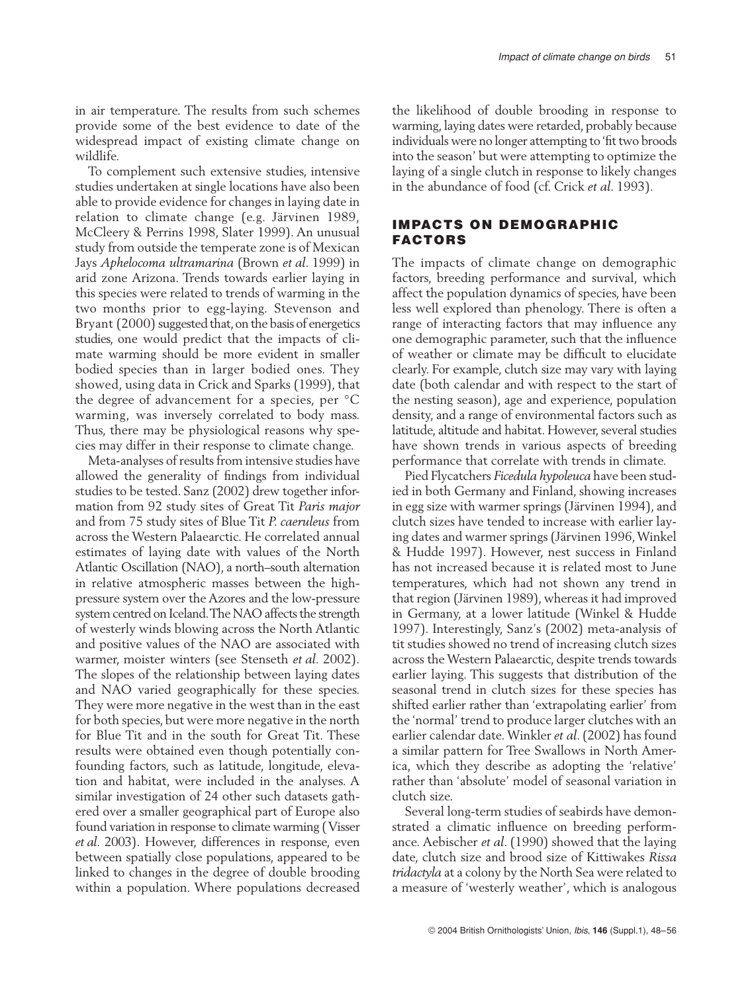in air temperature. The results from such schemes provide some of the best evidence to date of the widespread impact of existing climate change on wildlife.

To complement such extensive studies, intensive studies undertaken at single locations have also been able to provide evidence for changes in laying date in relation to climate change (e.g. Järvinen 1989, McCleery & Perrins 1998, Slater 1999). An unusual study from outside the temperate zone is of Mexican Jays *Aphelocoma ultramarina* (Brown *et al*. 1999) in arid zone Arizona. Trends towards earlier laying in this species were related to trends of warming in the two months prior to egg-laying. Stevenson and Bryant (2000) suggested that, on the basis of energetics studies, one would predict that the impacts of climate warming should be more evident in smaller bodied species than in larger bodied ones. They showed, using data in Crick and Sparks (1999), that the degree of advancement for a species, per °C warming, was inversely correlated to body mass. Thus, there may be physiological reasons why species may differ in their response to climate change.

Meta-analyses of results from intensive studies have allowed the generality of findings from individual studies to be tested. Sanz (2002) drew together information from 92 study sites of Great Tit *Paris major* and from 75 study sites of Blue Tit *P. caeruleus* from across the Western Palaearctic. He correlated annual estimates of laying date with values of the North Atlantic Oscillation (NAO), a north–south alternation in relative atmospheric masses between the highpressure system over the Azores and the low-pressure system centred on Iceland. The NAO affects the strength of westerly winds blowing across the North Atlantic and positive values of the NAO are associated with warmer, moister winters (see Stenseth *et al*. 2002). The slopes of the relationship between laying dates and NAO varied geographically for these species. They were more negative in the west than in the east for both species, but were more negative in the north for Blue Tit and in the south for Great Tit. These results were obtained even though potentially confounding factors, such as latitude, longitude, elevation and habitat, were included in the analyses. A similar investigation of 24 other such datasets gathered over a smaller geographical part of Europe also found variation in response to climate warming (Visser *et al*. 2003). However, differences in response, even between spatially close populations, appeared to be linked to changes in the degree of double brooding within a population. Where populations decreased the likelihood of double brooding in response to warming, laying dates were retarded, probably because individuals were no longer attempting to 'fit two broods into the season' but were attempting to optimize the laying of a single clutch in response to likely changes in the abundance of food (cf. Crick *et al*. 1993).

#### **IMPACTS ON DEMOGRAPHIC FACTORS**

The impacts of climate change on demographic factors, breeding performance and survival, which affect the population dynamics of species, have been less well explored than phenology. There is often a range of interacting factors that may influence any one demographic parameter, such that the influence of weather or climate may be difficult to elucidate clearly. For example, clutch size may vary with laying date (both calendar and with respect to the start of the nesting season), age and experience, population density, and a range of environmental factors such as latitude, altitude and habitat. However, several studies have shown trends in various aspects of breeding performance that correlate with trends in climate.

Pied Flycatchers *Ficedula hypoleuca* have been studied in both Germany and Finland, showing increases in egg size with warmer springs (Järvinen 1994), and clutch sizes have tended to increase with earlier laying dates and warmer springs (Järvinen 1996, Winkel & Hudde 1997). However, nest success in Finland has not increased because it is related most to June temperatures, which had not shown any trend in that region (Järvinen 1989), whereas it had improved in Germany, at a lower latitude (Winkel & Hudde 1997). Interestingly, Sanz's (2002) meta-analysis of tit studies showed no trend of increasing clutch sizes across the Western Palaearctic, despite trends towards earlier laying. This suggests that distribution of the seasonal trend in clutch sizes for these species has shifted earlier rather than 'extrapolating earlier' from the 'normal' trend to produce larger clutches with an earlier calendar date. Winkler *et al*. (2002) has found a similar pattern for Tree Swallows in North America, which they describe as adopting the 'relative' rather than 'absolute' model of seasonal variation in clutch size.

Several long-term studies of seabirds have demonstrated a climatic influence on breeding performance. Aebischer *et al*. (1990) showed that the laying date, clutch size and brood size of Kittiwakes *Rissa tridactyla* at a colony by the North Sea were related to a measure of 'westerly weather', which is analogous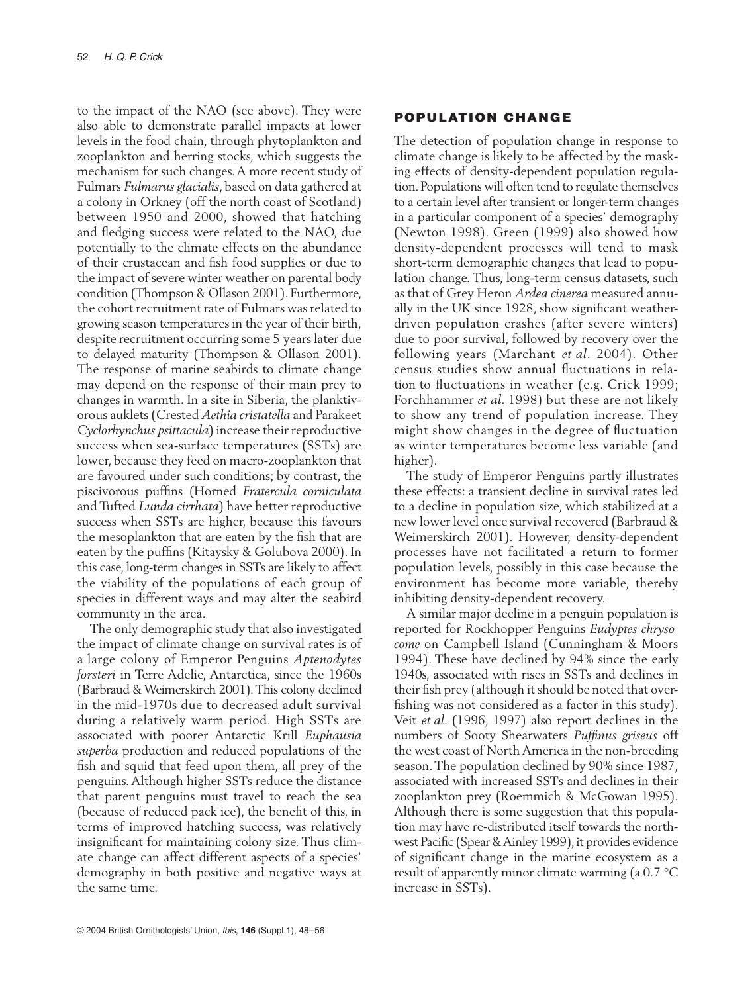to the impact of the NAO (see above). They were also able to demonstrate parallel impacts at lower levels in the food chain, through phytoplankton and zooplankton and herring stocks, which suggests the mechanism for such changes. A more recent study of Fulmars *Fulmarus glacialis*, based on data gathered at a colony in Orkney (off the north coast of Scotland) between 1950 and 2000, showed that hatching and fledging success were related to the NAO, due potentially to the climate effects on the abundance of their crustacean and fish food supplies or due to the impact of severe winter weather on parental body condition (Thompson & Ollason 2001). Furthermore, the cohort recruitment rate of Fulmars was related to growing season temperatures in the year of their birth, despite recruitment occurring some 5 years later due to delayed maturity (Thompson & Ollason 2001). The response of marine seabirds to climate change may depend on the response of their main prey to changes in warmth. In a site in Siberia, the planktivorous auklets (Crested *Aethia cristatella* and Parakeet *Cyclorhynchus psittacula*) increase their reproductive success when sea-surface temperatures (SSTs) are lower, because they feed on macro-zooplankton that are favoured under such conditions; by contrast, the piscivorous puffins (Horned *Fratercula corniculata* and Tufted *Lunda cirrhata*) have better reproductive success when SSTs are higher, because this favours the mesoplankton that are eaten by the fish that are eaten by the puffins (Kitaysky & Golubova 2000). In this case, long-term changes in SSTs are likely to affect the viability of the populations of each group of species in different ways and may alter the seabird community in the area.

The only demographic study that also investigated the impact of climate change on survival rates is of a large colony of Emperor Penguins *Aptenodytes forsteri* in Terre Adelie, Antarctica, since the 1960s (Barbraud & Weimerskirch 2001). This colony declined in the mid-1970s due to decreased adult survival during a relatively warm period. High SSTs are associated with poorer Antarctic Krill *Euphausia superba* production and reduced populations of the fish and squid that feed upon them, all prey of the penguins. Although higher SSTs reduce the distance that parent penguins must travel to reach the sea (because of reduced pack ice), the benefit of this, in terms of improved hatching success, was relatively insignificant for maintaining colony size. Thus climate change can affect different aspects of a species' demography in both positive and negative ways at the same time.

#### **POPULATION CHANGE**

The detection of population change in response to climate change is likely to be affected by the masking effects of density-dependent population regulation. Populations will often tend to regulate themselves to a certain level after transient or longer-term changes in a particular component of a species' demography (Newton 1998). Green (1999) also showed how density-dependent processes will tend to mask short-term demographic changes that lead to population change. Thus, long-term census datasets, such as that of Grey Heron *Ardea cinerea* measured annually in the UK since 1928, show significant weatherdriven population crashes (after severe winters) due to poor survival, followed by recovery over the following years (Marchant *et al*. 2004). Other census studies show annual fluctuations in relation to fluctuations in weather (e.g. Crick 1999; Forchhammer *et al*. 1998) but these are not likely to show any trend of population increase. They might show changes in the degree of fluctuation as winter temperatures become less variable (and higher).

The study of Emperor Penguins partly illustrates these effects: a transient decline in survival rates led to a decline in population size, which stabilized at a new lower level once survival recovered (Barbraud & Weimerskirch 2001). However, density-dependent processes have not facilitated a return to former population levels, possibly in this case because the environment has become more variable, thereby inhibiting density-dependent recovery.

A similar major decline in a penguin population is reported for Rockhopper Penguins *Eudyptes chrysocome* on Campbell Island (Cunningham & Moors 1994). These have declined by 94% since the early 1940s, associated with rises in SSTs and declines in their fish prey (although it should be noted that overfishing was not considered as a factor in this study). Veit *et al*. (1996, 1997) also report declines in the numbers of Sooty Shearwaters *Puffinus griseus* off the west coast of North America in the non-breeding season. The population declined by 90% since 1987, associated with increased SSTs and declines in their zooplankton prey (Roemmich & McGowan 1995). Although there is some suggestion that this population may have re-distributed itself towards the northwest Pacific (Spear & Ainley 1999), it provides evidence of significant change in the marine ecosystem as a result of apparently minor climate warming (a 0.7 °C increase in SSTs).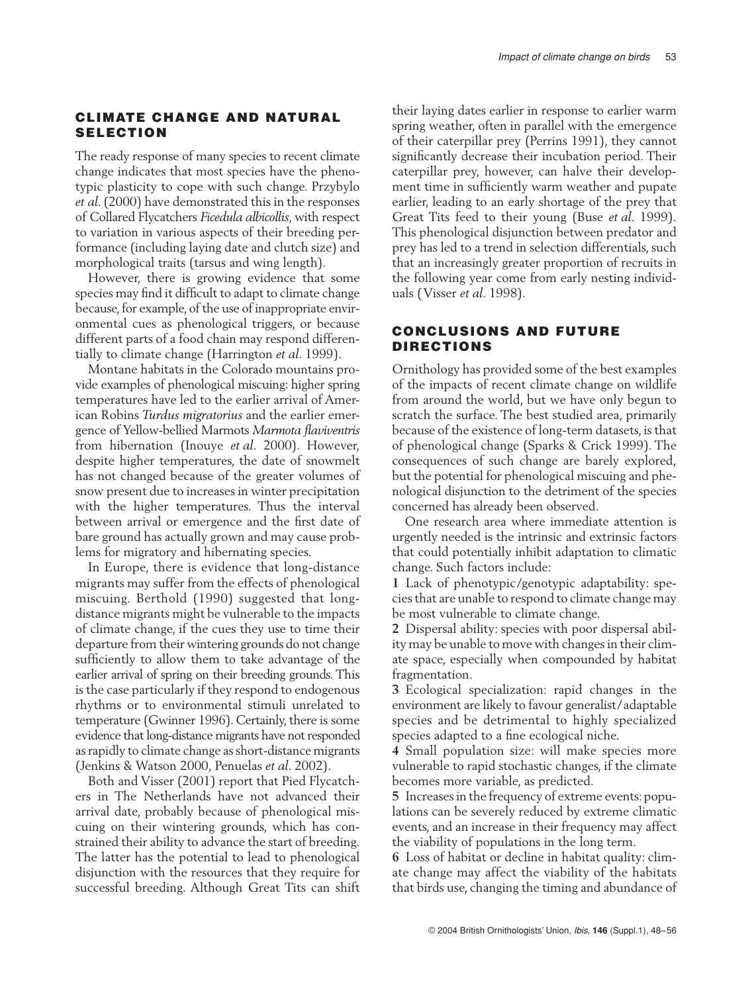## **CLIMATE CHANGE AND NATURAL SELECTION**

The ready response of many species to recent climate change indicates that most species have the phenotypic plasticity to cope with such change. Przybylo *et al*. (2000) have demonstrated this in the responses of Collared Flycatchers *Ficedula albicollis*, with respect to variation in various aspects of their breeding performance (including laying date and clutch size) and morphological traits (tarsus and wing length).

However, there is growing evidence that some species may find it difficult to adapt to climate change because, for example, of the use of inappropriate environmental cues as phenological triggers, or because different parts of a food chain may respond differentially to climate change (Harrington *et al*. 1999).

Montane habitats in the Colorado mountains provide examples of phenological miscuing: higher spring temperatures have led to the earlier arrival of American Robins *Turdus migratorius* and the earlier emergence of Yellow-bellied Marmots *Marmota flaviventris* from hibernation (Inouye *et al*. 2000). However, despite higher temperatures, the date of snowmelt has not changed because of the greater volumes of snow present due to increases in winter precipitation with the higher temperatures. Thus the interval between arrival or emergence and the first date of bare ground has actually grown and may cause problems for migratory and hibernating species.

In Europe, there is evidence that long-distance migrants may suffer from the effects of phenological miscuing. Berthold (1990) suggested that longdistance migrants might be vulnerable to the impacts of climate change, if the cues they use to time their departure from their wintering grounds do not change sufficiently to allow them to take advantage of the earlier arrival of spring on their breeding grounds. This is the case particularly if they respond to endogenous rhythms or to environmental stimuli unrelated to temperature (Gwinner 1996). Certainly, there is some evidence that long-distance migrants have not responded as rapidly to climate change as short-distance migrants (Jenkins & Watson 2000, Penuelas *et al*. 2002).

Both and Visser (2001) report that Pied Flycatchers in The Netherlands have not advanced their arrival date, probably because of phenological miscuing on their wintering grounds, which has constrained their ability to advance the start of breeding. The latter has the potential to lead to phenological disjunction with the resources that they require for successful breeding. Although Great Tits can shift their laying dates earlier in response to earlier warm spring weather, often in parallel with the emergence of their caterpillar prey (Perrins 1991), they cannot significantly decrease their incubation period. Their caterpillar prey, however, can halve their development time in sufficiently warm weather and pupate earlier, leading to an early shortage of the prey that Great Tits feed to their young (Buse *et al*. 1999). This phenological disjunction between predator and prey has led to a trend in selection differentials, such that an increasingly greater proportion of recruits in the following year come from early nesting individuals (Visser *et al*. 1998).

## **CONCLUSIONS AND FUTURE DIRECTIONS**

Ornithology has provided some of the best examples of the impacts of recent climate change on wildlife from around the world, but we have only begun to scratch the surface. The best studied area, primarily because of the existence of long-term datasets, is that of phenological change (Sparks & Crick 1999). The consequences of such change are barely explored, but the potential for phenological miscuing and phenological disjunction to the detriment of the species concerned has already been observed.

One research area where immediate attention is urgently needed is the intrinsic and extrinsic factors that could potentially inhibit adaptation to climatic change. Such factors include:

**1** Lack of phenotypic/genotypic adaptability: species that are unable to respond to climate change may be most vulnerable to climate change.

**2** Dispersal ability: species with poor dispersal ability may be unable to move with changes in their climate space, especially when compounded by habitat fragmentation.

**3** Ecological specialization: rapid changes in the environment are likely to favour generalist/adaptable species and be detrimental to highly specialized species adapted to a fine ecological niche.

**4** Small population size: will make species more vulnerable to rapid stochastic changes, if the climate becomes more variable, as predicted.

**5** Increases in the frequency of extreme events: populations can be severely reduced by extreme climatic events, and an increase in their frequency may affect the viability of populations in the long term.

**6** Loss of habitat or decline in habitat quality: climate change may affect the viability of the habitats that birds use, changing the timing and abundance of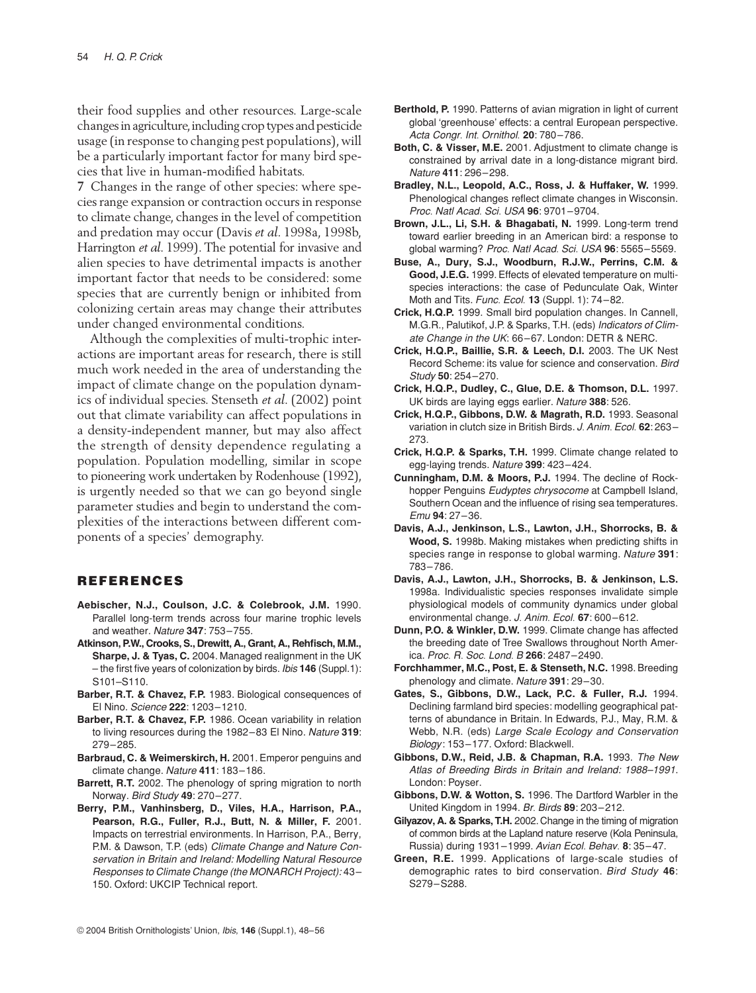their food supplies and other resources. Large-scale changes in agriculture, including crop types and pesticide usage (in response to changing pest populations), will be a particularly important factor for many bird species that live in human-modified habitats.

**7** Changes in the range of other species: where species range expansion or contraction occurs in response to climate change, changes in the level of competition and predation may occur (Davis *et al*. 1998a, 1998b, Harrington *et al*. 1999). The potential for invasive and alien species to have detrimental impacts is another important factor that needs to be considered: some species that are currently benign or inhibited from colonizing certain areas may change their attributes under changed environmental conditions.

Although the complexities of multi-trophic interactions are important areas for research, there is still much work needed in the area of understanding the impact of climate change on the population dynamics of individual species. Stenseth *et al*. (2002) point out that climate variability can affect populations in a density-independent manner, but may also affect the strength of density dependence regulating a population. Population modelling, similar in scope to pioneering work undertaken by Rodenhouse (1992), is urgently needed so that we can go beyond single parameter studies and begin to understand the complexities of the interactions between different components of a species' demography.

## **REFERENCES**

- **Aebischer, N.J., Coulson, J.C. & Colebrook, J.M.** 1990. Parallel long-term trends across four marine trophic levels and weather. *Nature* **347**: 753–755.
- **Atkinson, P.W., Crooks, S., Drewitt, A., Grant, A., Rehfisch, M.M., Sharpe, J. & Tyas, C.** 2004. Managed realignment in the UK – the first five years of colonization by birds. *Ibis* **146** (Suppl.1): S101–S110.
- **Barber, R.T. & Chavez, F.P.** 1983. Biological consequences of El Nino. *Science* **222**: 1203–1210.
- **Barber, R.T. & Chavez, F.P.** 1986. Ocean variability in relation to living resources during the 1982–83 El Nino. *Nature* **319**: 279–285.
- **Barbraud, C. & Weimerskirch, H.** 2001. Emperor penguins and climate change. *Nature* **411**: 183–186.
- **Barrett, R.T.** 2002. The phenology of spring migration to north Norway. *Bird Study* **49**: 270–277.
- **Berry, P.M., Vanhinsberg, D., Viles, H.A., Harrison, P.A., Pearson, R.G., Fuller, R.J., Butt, N. & Miller, F.** 2001. Impacts on terrestrial environments. In Harrison, P.A., Berry, P.M. & Dawson, T.P. (eds) *Climate Change and Nature Conservation in Britain and Ireland: Modelling Natural Resource Responses to Climate Change (the MONARCH Project):* 43– 150. Oxford: UKCIP Technical report.
- **Berthold, P.** 1990. Patterns of avian migration in light of current global 'greenhouse' effects: a central European perspective. *Acta Congr*. *Int*. *Ornithol*. **20**: 780–786.
- **Both, C. & Visser, M.E.** 2001. Adjustment to climate change is constrained by arrival date in a long-distance migrant bird. *Nature* **411**: 296–298.
- **Bradley, N.L., Leopold, A.C., Ross, J. & Huffaker, W.** 1999. Phenological changes reflect climate changes in Wisconsin. *Proc*. *Natl Acad*. *Sci*. *USA* **96**: 9701–9704.
- **Brown, J.L., Li, S.H. & Bhagabati, N.** 1999. Long-term trend toward earlier breeding in an American bird: a response to global warming? *Proc*. *Natl Acad*. *Sci*. *USA* **96**: 5565–5569.
- **Buse, A., Dury, S.J., Woodburn, R.J.W., Perrins, C.M. & Good, J.E.G.** 1999. Effects of elevated temperature on multispecies interactions: the case of Pedunculate Oak, Winter Moth and Tits. *Func*. *Ecol*. **13** (Suppl. 1): 74–82.
- **Crick, H.Q.P.** 1999. Small bird population changes. In Cannell, M.G.R., Palutikof, J.P. & Sparks, T.H. (eds) *Indicators of Climate Change in the UK*: 66–67. London: DETR & NERC.
- **Crick, H.Q.P., Baillie, S.R. & Leech, D.I.** 2003. The UK Nest Record Scheme: its value for science and conservation. *Bird Study* **50**: 254–270.
- **Crick, H.Q.P., Dudley, C., Glue, D.E. & Thomson, D.L.** 1997. UK birds are laying eggs earlier. *Nature* **388**: 526.
- **Crick, H.Q.P., Gibbons, D.W. & Magrath, R.D.** 1993. Seasonal variation in clutch size in British Birds. *J*. *Anim*. *Ecol*. **62**: 263– 273.
- **Crick, H.Q.P. & Sparks, T.H.** 1999. Climate change related to egg-laying trends. *Nature* **399**: 423–424.
- **Cunningham, D.M. & Moors, P.J.** 1994. The decline of Rockhopper Penguins *Eudyptes chrysocome* at Campbell Island, Southern Ocean and the influence of rising sea temperatures. *Emu* **94**: 27–36.
- **Davis, A.J., Jenkinson, L.S., Lawton, J.H., Shorrocks, B. & Wood, S.** 1998b. Making mistakes when predicting shifts in species range in response to global warming. *Nature* **391**: 783–786.
- **Davis, A.J., Lawton, J.H., Shorrocks, B. & Jenkinson, L.S.** 1998a. Individualistic species responses invalidate simple physiological models of community dynamics under global environmental change. *J*. *Anim*. *Ecol*. **67**: 600–612.
- **Dunn, P.O. & Winkler, D.W.** 1999. Climate change has affected the breeding date of Tree Swallows throughout North America. *Proc*. *R*. *Soc*. *Lond*. *B* **266**: 2487–2490.
- **Forchhammer, M.C., Post, E. & Stenseth, N.C.** 1998. Breeding phenology and climate. *Nature* **391**: 29–30.
- **Gates, S., Gibbons, D.W., Lack, P.C. & Fuller, R.J.** 1994. Declining farmland bird species: modelling geographical patterns of abundance in Britain. In Edwards, P.J., May, R.M. & Webb, N.R. (eds) *Large Scale Ecology and Conservation Biology*: 153–177. Oxford: Blackwell.
- **Gibbons, D.W., Reid, J.B. & Chapman, R.A.** 1993. *The New Atlas of Breeding Birds in Britain and Ireland: 1988–1991*. London: Poyser.
- **Gibbons, D.W. & Wotton, S.** 1996. The Dartford Warbler in the United Kingdom in 1994. *Br*. *Birds* **89**: 203–212.
- **Gilyazov, A. & Sparks, T.H.** 2002. Change in the timing of migration of common birds at the Lapland nature reserve (Kola Peninsula, Russia) during 1931–1999. *Avian Ecol*. *Behav*. **8**: 35–47.
- **Green, R.E.** 1999. Applications of large-scale studies of demographic rates to bird conservation. *Bird Study* **46**: S279–S288.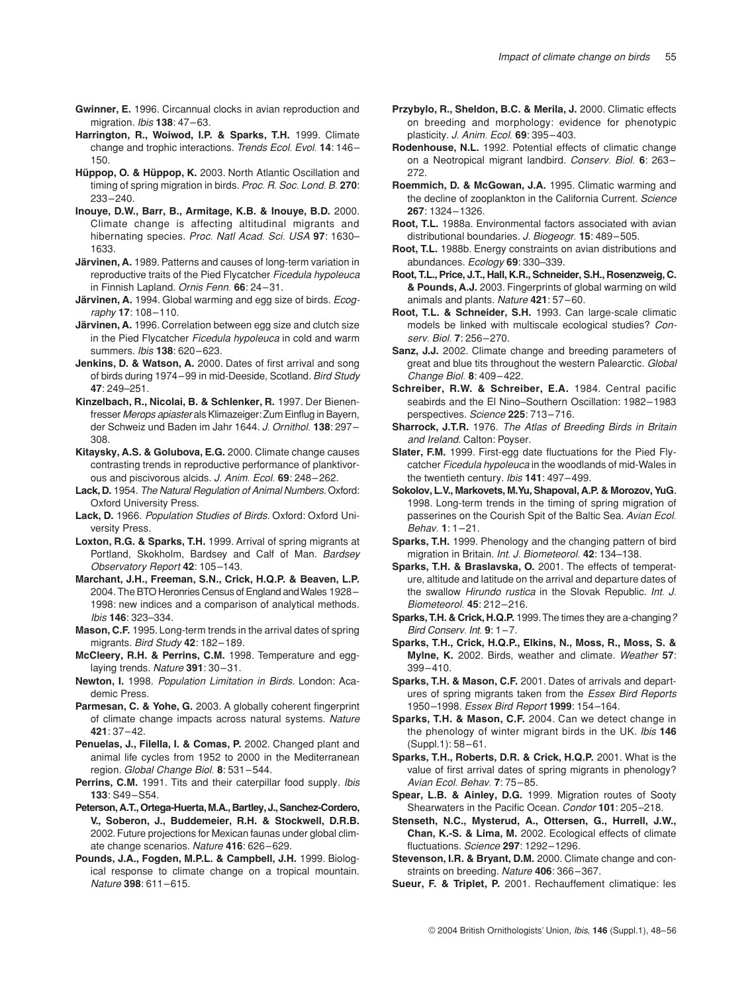- **Gwinner, E.** 1996. Circannual clocks in avian reproduction and migration. *Ibis* **138**: 47–63.
- **Harrington, R., Woiwod, I.P. & Sparks, T.H.** 1999. Climate change and trophic interactions. *Trends Ecol*. *Evol*. **14**: 146– 150.
- **Hüppop, O. & Hüppop, K.** 2003. North Atlantic Oscillation and timing of spring migration in birds. *Proc*. *R*. *Soc*. *Lond*. *B*. **270**: 233–240.
- **Inouye, D.W., Barr, B., Armitage, K.B. & Inouye, B.D.** 2000. Climate change is affecting altitudinal migrants and hibernating species. *Proc*. *Natl Acad*. *Sci*. *USA* **97**: 1630– 1633.
- **Järvinen, A.** 1989. Patterns and causes of long-term variation in reproductive traits of the Pied Flycatcher *Ficedula hypoleuca* in Finnish Lapland. *Ornis Fenn*. **66**: 24–31.
- **Järvinen, A.** 1994. Global warming and egg size of birds. *Ecography* **17**: 108–110.
- **Järvinen, A.** 1996. Correlation between egg size and clutch size in the Pied Flycatcher *Ficedula hypoleuca* in cold and warm summers. *Ibis* **138**: 620–623.
- **Jenkins, D. & Watson, A.** 2000. Dates of first arrival and song of birds during 1974–99 in mid-Deeside, Scotland. *Bird Study* **47**: 249–251.
- **Kinzelbach, R., Nicolai, B. & Schlenker, R.** 1997. Der Bienenfresser *Merops apiaster* als Klimazeiger: Zum Einflug in Bayern, der Schweiz und Baden im Jahr 1644. *J*. *Ornithol*. **138**: 297– 308.
- **Kitaysky, A.S. & Golubova, E.G.** 2000. Climate change causes contrasting trends in reproductive performance of planktivorous and piscivorous alcids. *J*. *Anim*. *Ecol*. **69**: 248–262.
- **Lack, D.** 1954. *The Natural Regulation of Animal Numbers*. Oxford: Oxford University Press.
- **Lack, D.** 1966. *Population Studies of Birds*. Oxford: Oxford University Press.
- **Loxton, R.G. & Sparks, T.H.** 1999. Arrival of spring migrants at Portland, Skokholm, Bardsey and Calf of Man. *Bardsey Observatory Report* **42**: 105–143.
- **Marchant, J.H., Freeman, S.N., Crick, H.Q.P. & Beaven, L.P.** 2004. The BTO Heronries Census of England and Wales 1928– 1998: new indices and a comparison of analytical methods. *Ibis* **146**: 323–334.
- **Mason, C.F.** 1995. Long-term trends in the arrival dates of spring migrants. *Bird Study* **42**: 182–189.
- **McCleery, R.H. & Perrins, C.M.** 1998. Temperature and egglaying trends. *Nature* **391**: 30–31.
- **Newton, I.** 1998. *Population Limitation in Birds*. London: Academic Press.
- **Parmesan, C. & Yohe, G.** 2003. A globally coherent fingerprint of climate change impacts across natural systems. *Nature* **421**: 37–42.
- **Penuelas, J., Filella, I. & Comas, P.** 2002. Changed plant and animal life cycles from 1952 to 2000 in the Mediterranean region. *Global Change Biol*. **8**: 531–544.
- **Perrins, C.M.** 1991. Tits and their caterpillar food supply. *Ibis* **133**: S49–S54.
- **Peterson, A.T., Ortega-Huerta, M.A., Bartley, J., Sanchez-Cordero, V., Soberon, J., Buddemeier, R.H. & Stockwell, D.R.B.** 2002. Future projections for Mexican faunas under global climate change scenarios. *Nature* **416**: 626–629.
- **Pounds, J.A., Fogden, M.P.L. & Campbell, J.H.** 1999. Biological response to climate change on a tropical mountain. *Nature* **398**: 611–615.
- **Przybylo, R., Sheldon, B.C. & Merila, J.** 2000. Climatic effects on breeding and morphology: evidence for phenotypic plasticity. *J*. *Anim*. *Ecol*. **69**: 395–403.
- **Rodenhouse, N.L.** 1992. Potential effects of climatic change on a Neotropical migrant landbird. *Conserv*. *Biol*. **6**: 263– 272.
- **Roemmich, D. & McGowan, J.A.** 1995. Climatic warming and the decline of zooplankton in the California Current. *Science* **267**: 1324–1326.
- **Root, T.L.** 1988a. Environmental factors associated with avian distributional boundaries. *J*. *Biogeogr*. **15**: 489–505.
- **Root, T.L.** 1988b. Energy constraints on avian distributions and abundances. *Ecology* **69**: 330–339.
- **Root, T.L., Price, J.T., Hall, K.R., Schneider, S.H., Rosenzweig, C. & Pounds, A.J.** 2003. Fingerprints of global warming on wild animals and plants. *Nature* **421**: 57–60.
- **Root, T.L. & Schneider, S.H.** 1993. Can large-scale climatic models be linked with multiscale ecological studies? *Conserv*. *Biol*. **7**: 256–270.
- **Sanz, J.J.** 2002. Climate change and breeding parameters of great and blue tits throughout the western Palearctic. *Global Change Biol*. **8**: 409–422.
- **Schreiber, R.W. & Schreiber, E.A.** 1984. Central pacific seabirds and the El Nino–Southern Oscillation: 1982–1983 perspectives. *Science* **225**: 713–716.
- **Sharrock, J.T.R.** 1976. *The Atlas of Breeding Birds in Britain and Ireland*. Calton: Poyser.
- **Slater, F.M.** 1999. First-egg date fluctuations for the Pied Flycatcher *Ficedula hypoleuca* in the woodlands of mid-Wales in the twentieth century. *Ibis* **141**: 497–499.
- **Sokolov, L.V., Markovets, M.Yu, Shapoval, A.P. & Morozov, YuG.** 1998. Long-term trends in the timing of spring migration of passerines on the Courish Spit of the Baltic Sea. *Avian Ecol*. *Behav*. **1**: 1–21.
- **Sparks, T.H.** 1999. Phenology and the changing pattern of bird migration in Britain. *Int*. *J*. *Biometeorol*. **42**: 134–138.
- **Sparks, T.H. & Braslavska, O.** 2001. The effects of temperature, altitude and latitude on the arrival and departure dates of the swallow *Hirundo rustica* in the Slovak Republic. *Int*. *J*. *Biometeorol*. **45**: 212–216.
- **Sparks, T.H. & Crick, H.Q.P.** 1999. The times they are a-changing*? Bird Conserv*. *Int*. **9**: 1–7.
- **Sparks, T.H., Crick, H.Q.P., Elkins, N., Moss, R., Moss, S. & Mylne, K.** 2002. Birds, weather and climate. *Weather* **57**: 399–410.
- **Sparks, T.H. & Mason, C.F.** 2001. Dates of arrivals and departures of spring migrants taken from the *Essex Bird Reports* 1950–1998. *Essex Bird Report* **1999**: 154–164.
- **Sparks, T.H. & Mason, C.F.** 2004. Can we detect change in the phenology of winter migrant birds in the UK. *Ibis* **146** (Suppl.1): 58–61.
- **Sparks, T.H., Roberts, D.R. & Crick, H.Q.P.** 2001. What is the value of first arrival dates of spring migrants in phenology? *Avian Ecol*. *Behav*. **7**: 75–85.
- **Spear, L.B. & Ainley, D.G.** 1999. Migration routes of Sooty Shearwaters in the Pacific Ocean. *Condor* **101**: 205–218.
- **Stenseth, N.C., Mysterud, A., Ottersen, G., Hurrell, J.W., Chan, K.-S. & Lima, M.** 2002. Ecological effects of climate fluctuations. *Science* **297**: 1292–1296.
- **Stevenson, I.R. & Bryant, D.M.** 2000. Climate change and constraints on breeding. *Nature* **406**: 366–367.
- **Sueur, F. & Triplet, P.** 2001. Rechauffement climatique: les